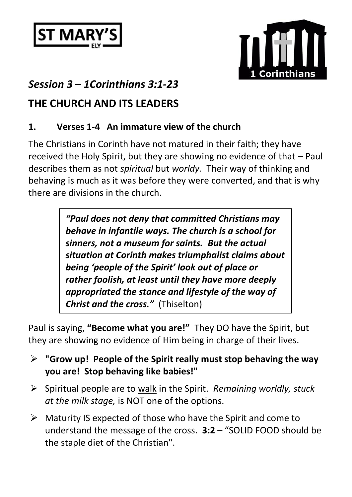



# *Session 3 – 1Corinthians 3:1-23*

## **THE CHURCH AND ITS LEADERS**

### **1. Verses 1-4 An immature view of the church**

The Christians in Corinth have not matured in their faith; they have received the Holy Spirit, but they are showing no evidence of that – Paul describes them as not *spiritual* but *worldy.* Their way of thinking and behaving is much as it was before they were converted, and that is why there are divisions in the church.

> *"Paul does not deny that committed Christians may behave in infantile ways. The church is a school for sinners, not a museum for saints. But the actual situation at Corinth makes triumphalist claims about being 'people of the Spirit' look out of place or rather foolish, at least until they have more deeply appropriated the stance and lifestyle of the way of Christ and the cross."* (Thiselton)

Paul is saying, **"Become what you are!"** They DO have the Spirit, but they are showing no evidence of Him being in charge of their lives.

- ➢ **"Grow up! People of the Spirit really must stop behaving the way you are! Stop behaving like babies!"**
- ➢ Spiritual people are to walk in the Spirit. *Remaining worldly, stuck at the milk stage,* is NOT one of the options.
- ➢ Maturity IS expected of those who have the Spirit and come to understand the message of the cross. **3:2** – "SOLID FOOD should be the staple diet of the Christian".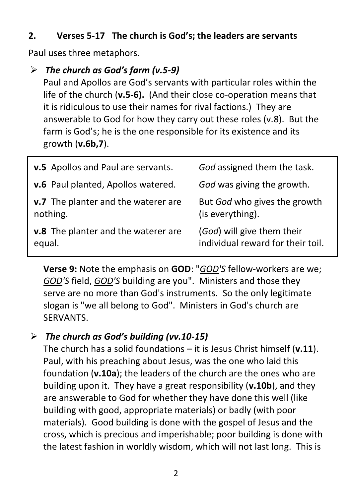#### **2. Verses 5-17 The church is God's; the leaders are servants**

Paul uses three metaphors.

#### ➢ *The church as God's farm (v.5-9)*

Paul and Apollos are God's servants with particular roles within the life of the church (**v.5-6).** (And their close co-operation means that it is ridiculous to use their names for rival factions.) They are answerable to God for how they carry out these roles (v.8). But the farm is God's; he is the one responsible for its existence and its growth (**v.6b,7**).

| v.5 Apollos and Paul are servants.  | God assigned them the task.       |
|-------------------------------------|-----------------------------------|
| v.6 Paul planted, Apollos watered.  | God was giving the growth.        |
| v.7 The planter and the waterer are | But God who gives the growth      |
| nothing.                            | (is everything).                  |
| v.8 The planter and the waterer are | (God) will give them their        |
| equal.                              | individual reward for their toil. |

**Verse 9:** Note the emphasis on **GOD**: "*GOD'S* fellow-workers are we; *GOD'S* field, *GOD'S* building are you". Ministers and those they serve are no more than God's instruments. So the only legitimate slogan is "we all belong to God". Ministers in God's church are SERVANTS.

#### ➢ *The church as God's building (vv.10-15)*

The church has a solid foundations – it is Jesus Christ himself (**v.11**). Paul, with his preaching about Jesus, was the one who laid this foundation (**v.10a**); the leaders of the church are the ones who are building upon it. They have a great responsibility (**v.10b**), and they are answerable to God for whether they have done this well (like building with good, appropriate materials) or badly (with poor materials). Good building is done with the gospel of Jesus and the cross, which is precious and imperishable; poor building is done with the latest fashion in worldly wisdom, which will not last long. This is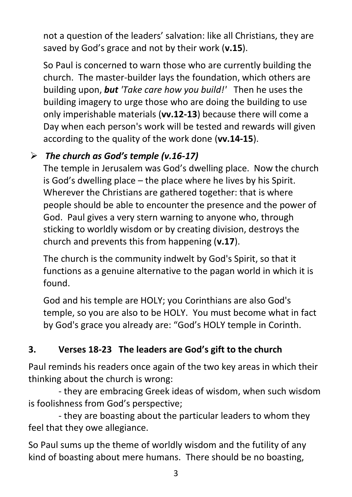not a question of the leaders' salvation: like all Christians, they are saved by God's grace and not by their work (**v.15**).

So Paul is concerned to warn those who are currently building the church. The master-builder lays the foundation, which others are building upon, *but 'Take care how you build!'* Then he uses the building imagery to urge those who are doing the building to use only imperishable materials (**vv.12-13**) because there will come a Day when each person's work will be tested and rewards will given according to the quality of the work done (**vv.14-15**).

### ➢ *The church as God's temple (v.16-17)*

The temple in Jerusalem was God's dwelling place. Now the church is God's dwelling place – the place where he lives by his Spirit. Wherever the Christians are gathered together: that is where people should be able to encounter the presence and the power of God. Paul gives a very stern warning to anyone who, through sticking to worldly wisdom or by creating division, destroys the church and prevents this from happening (**v.17**).

The church is the community indwelt by God's Spirit, so that it functions as a genuine alternative to the pagan world in which it is found.

God and his temple are HOLY; you Corinthians are also God's temple, so you are also to be HOLY. You must become what in fact by God's grace you already are: "God's HOLY temple in Corinth.

## **3. Verses 18-23 The leaders are God's gift to the church**

Paul reminds his readers once again of the two key areas in which their thinking about the church is wrong:

- they are embracing Greek ideas of wisdom, when such wisdom is foolishness from God's perspective;

- they are boasting about the particular leaders to whom they feel that they owe allegiance.

So Paul sums up the theme of worldly wisdom and the futility of any kind of boasting about mere humans. There should be no boasting,